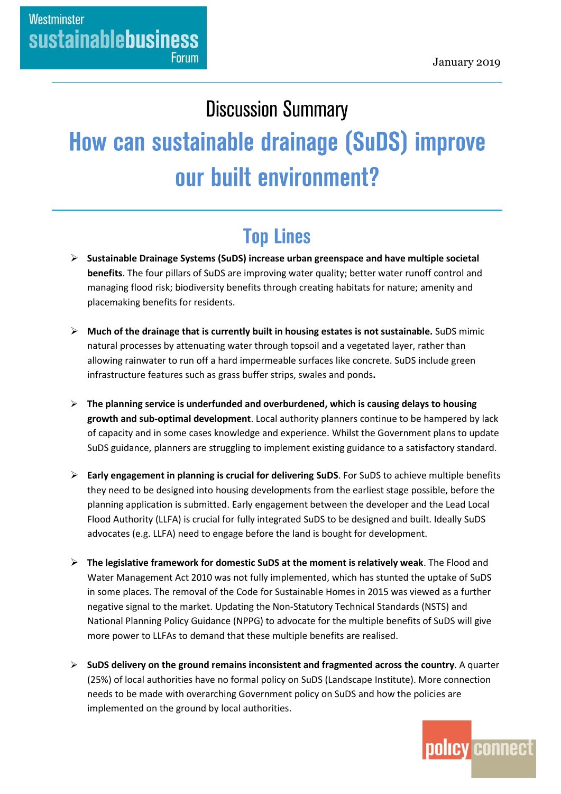# **Discussion Summary** How can sustainable drainage (SuDS) improve our built environment?

## **Top Lines**

- **Sustainable Drainage Systems (SuDS) increase urban greenspace and have multiple societal benefits**. The four pillars of SuDS are improving water quality; better water runoff control and managing flood risk; biodiversity benefits through creating habitats for nature; amenity and placemaking benefits for residents.
- **Much of the drainage that is currently built in housing estates is not sustainable.** SuDS mimic natural processes by attenuating water through topsoil and a vegetated layer, rather than allowing rainwater to run off a hard impermeable surfaces like concrete. SuDS include green infrastructure features such as grass buffer strips, swales and ponds**.**
- **The planning service is underfunded and overburdened, which is causing delays to housing growth and sub-optimal development**. Local authority planners continue to be hampered by lack of capacity and in some cases knowledge and experience. Whilst the Government plans to update SuDS guidance, planners are struggling to implement existing guidance to a satisfactory standard.
- **Early engagement in planning is crucial for delivering SuDS**. For SuDS to achieve multiple benefits they need to be designed into housing developments from the earliest stage possible, before the planning application is submitted. Early engagement between the developer and the Lead Local Flood Authority (LLFA) is crucial for fully integrated SuDS to be designed and built. Ideally SuDS advocates (e.g. LLFA) need to engage before the land is bought for development.
- **The legislative framework for domestic SuDS at the moment is relatively weak**. The Flood and Water Management Act 2010 was not fully implemented, which has stunted the uptake of SuDS in some places. The removal of the Code for Sustainable Homes in 2015 was viewed as a further negative signal to the market. Updating the Non-Statutory Technical Standards (NSTS) and National Planning Policy Guidance (NPPG) to advocate for the multiple benefits of SuDS will give more power to LLFAs to demand that these multiple benefits are realised.
- **SuDS delivery on the ground remains inconsistent and fragmented across the country**. A quarter (25%) of local authorities have no formal policy on SuDS (Landscape Institute). More connection needs to be made with overarching Government policy on SuDS and how the policies are implemented on the ground by local authorities.

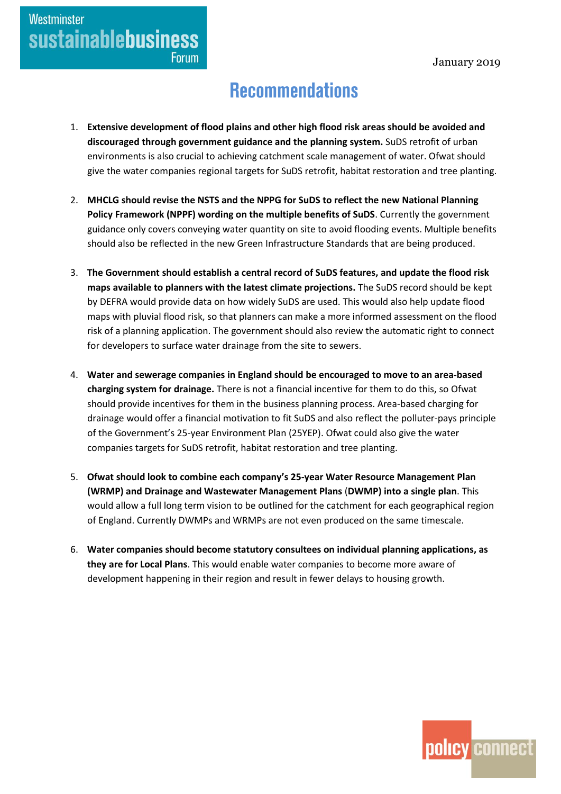### **Westminster sustainablebusiness Forum**

### **Recommendations**

- 1. **Extensive development of flood plains and other high flood risk areas should be avoided and discouraged through government guidance and the planning system.** SuDS retrofit of urban environments is also crucial to achieving catchment scale management of water. Ofwat should give the water companies regional targets for SuDS retrofit, habitat restoration and tree planting.
- 2. **MHCLG should revise the NSTS and the NPPG for SuDS to reflect the new National Planning Policy Framework (NPPF) wording on the multiple benefits of SuDS**. Currently the government guidance only covers conveying water quantity on site to avoid flooding events. Multiple benefits should also be reflected in the new Green Infrastructure Standards that are being produced.
- 3. **The Government should establish a central record of SuDS features, and update the flood risk maps available to planners with the latest climate projections.** The SuDS record should be kept by DEFRA would provide data on how widely SuDS are used. This would also help update flood maps with pluvial flood risk, so that planners can make a more informed assessment on the flood risk of a planning application. The government should also review the automatic right to connect for developers to surface water drainage from the site to sewers.
- 4. **Water and sewerage companies in England should be encouraged to move to an area-based charging system for drainage.** There is not a financial incentive for them to do this, so Ofwat should provide incentives for them in the business planning process. Area-based charging for drainage would offer a financial motivation to fit SuDS and also reflect the polluter-pays principle of the Government's 25-year Environment Plan (25YEP). Ofwat could also give the water companies targets for SuDS retrofit, habitat restoration and tree planting.
- 5. **Ofwat should look to combine each company's 25-year Water Resource Management Plan (WRMP) and Drainage and Wastewater Management Plans** (**DWMP) into a single plan**. This would allow a full long term vision to be outlined for the catchment for each geographical region of England. Currently DWMPs and WRMPs are not even produced on the same timescale.
- 6. **Water companies should become statutory consultees on individual planning applications, as they are for Local Plans**. This would enable water companies to become more aware of development happening in their region and result in fewer delays to housing growth.

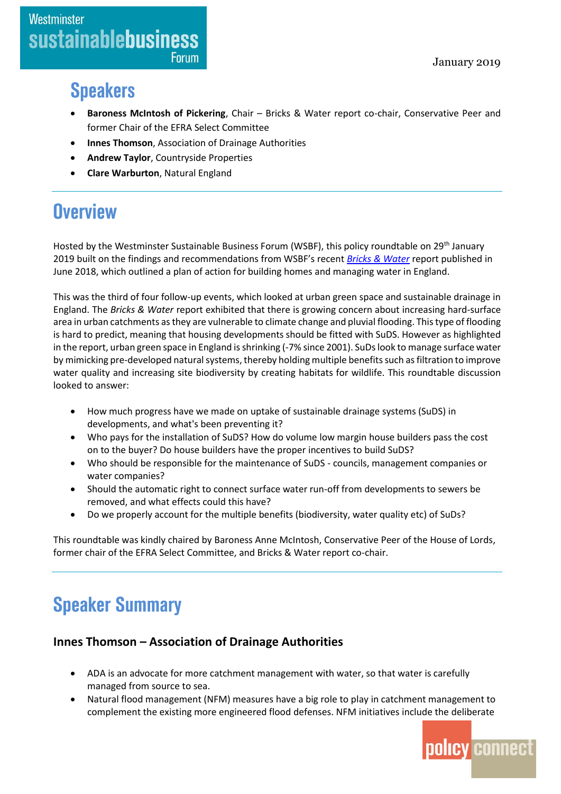### **Speakers**

- **Baroness McIntosh of Pickering**, Chair Bricks & Water report co-chair, Conservative Peer and former Chair of the EFRA Select Committee
- **Innes Thomson**, Association of Drainage Authorities
- **Andrew Taylor**, Countryside Properties
- **Clare Warburton**, Natural England

### **Overview**

Hosted by the Westminster Sustainable Business Forum (WSBF), this policy roundtable on 29<sup>th</sup> January 2019 built on the findings and recommendations from WSBF's recent *[Bricks & Water](https://www.policyconnect.org.uk/research/bricks-water-plan-action-building-homes-and-managing-water-england)* report published in June 2018, which outlined a plan of action for building homes and managing water in England.

This was the third of four follow-up events, which looked at urban green space and sustainable drainage in England. The *Bricks & Water* report exhibited that there is growing concern about increasing hard-surface area in urban catchments as they are vulnerable to climate change and pluvial flooding. This type of flooding is hard to predict, meaning that housing developments should be fitted with SuDS. However as highlighted in the report, urban green space in England is shrinking (-7% since 2001). SuDs look to manage surface water by mimicking pre-developed natural systems, thereby holding multiple benefitssuch as filtration to improve water quality and increasing site biodiversity by creating habitats for wildlife. This roundtable discussion looked to answer:

- How much progress have we made on uptake of sustainable drainage systems (SuDS) in developments, and what's been preventing it?
- Who pays for the installation of SuDS? How do volume low margin house builders pass the cost on to the buyer? Do house builders have the proper incentives to build SuDS?
- Who should be responsible for the maintenance of SuDS councils, management companies or water companies?
- Should the automatic right to connect surface water run-off from developments to sewers be removed, and what effects could this have?
- Do we properly account for the multiple benefits (biodiversity, water quality etc) of SuDs?

This roundtable was kindly chaired by Baroness Anne McIntosh, Conservative Peer of the House of Lords, former chair of the EFRA Select Committee, and Bricks & Water report co-chair.

# **Speaker Summary**

#### **Innes Thomson – Association of Drainage Authorities**

- ADA is an advocate for more catchment management with water, so that water is carefully managed from source to sea.
- Natural flood management (NFM) measures have a big role to play in catchment management to complement the existing more engineered flood defenses. NFM initiatives include the deliberate

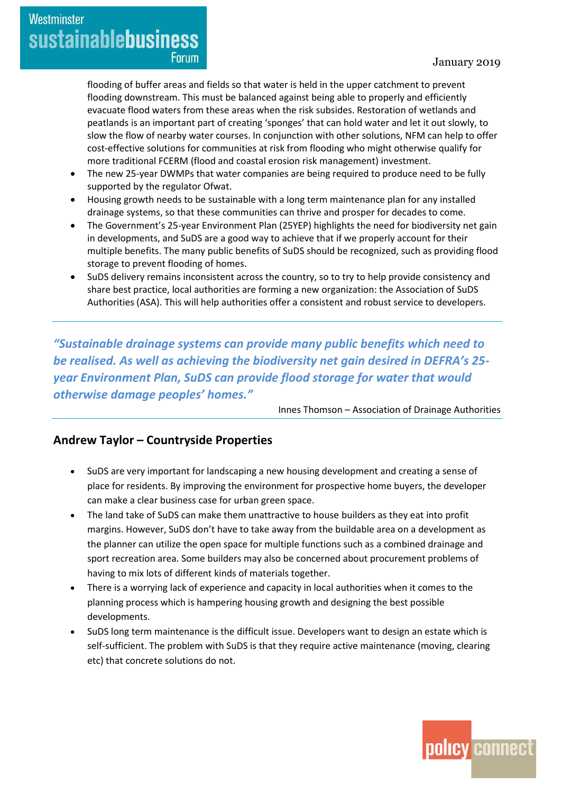Westminster **sustainablebusiness Forum** 

> flooding of buffer areas and fields so that water is held in the upper catchment to prevent flooding downstream. This must be balanced against being able to properly and efficiently evacuate flood waters from these areas when the risk subsides. Restoration of wetlands and peatlands is an important part of creating 'sponges' that can hold water and let it out slowly, to slow the flow of nearby water courses. In conjunction with other solutions, NFM can help to offer cost-effective solutions for communities at risk from flooding who might otherwise qualify for more traditional FCERM (flood and coastal erosion risk management) investment.

- The new 25-year DWMPs that water companies are being required to produce need to be fully supported by the regulator Ofwat.
- Housing growth needs to be sustainable with a long term maintenance plan for any installed drainage systems, so that these communities can thrive and prosper for decades to come.
- The Government's 25-year Environment Plan (25YEP) highlights the need for biodiversity net gain in developments, and SuDS are a good way to achieve that if we properly account for their multiple benefits. The many public benefits of SuDS should be recognized, such as providing flood storage to prevent flooding of homes.
- SuDS delivery remains inconsistent across the country, so to try to help provide consistency and share best practice, local authorities are forming a new organization: the Association of SuDS Authorities (ASA). This will help authorities offer a consistent and robust service to developers.

*"Sustainable drainage systems can provide many public benefits which need to be realised. As well as achieving the biodiversity net gain desired in DEFRA's 25 year Environment Plan, SuDS can provide flood storage for water that would otherwise damage peoples' homes."*

Innes Thomson – Association of Drainage Authorities

#### **Andrew Taylor – Countryside Properties**

- SuDS are very important for landscaping a new housing development and creating a sense of place for residents. By improving the environment for prospective home buyers, the developer can make a clear business case for urban green space.
- The land take of SuDS can make them unattractive to house builders as they eat into profit margins. However, SuDS don't have to take away from the buildable area on a development as the planner can utilize the open space for multiple functions such as a combined drainage and sport recreation area. Some builders may also be concerned about procurement problems of having to mix lots of different kinds of materials together.
- There is a worrying lack of experience and capacity in local authorities when it comes to the planning process which is hampering housing growth and designing the best possible developments.
- SuDS long term maintenance is the difficult issue. Developers want to design an estate which is self-sufficient. The problem with SuDS is that they require active maintenance (moving, clearing etc) that concrete solutions do not.

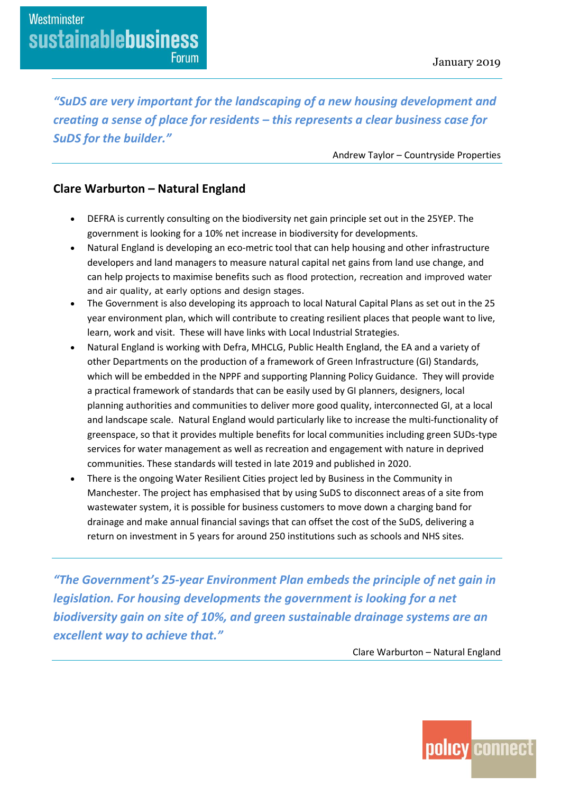*"SuDS are very important for the landscaping of a new housing development and creating a sense of place for residents – this represents a clear business case for SuDS for the builder."*

Andrew Taylor – Countryside Properties

#### **Clare Warburton – Natural England**

- DEFRA is currently consulting on the biodiversity net gain principle set out in the 25YEP. The government is looking for a 10% net increase in biodiversity for developments.
- Natural England is developing an eco-metric tool that can help housing and other infrastructure developers and land managers to measure natural capital net gains from land use change, and can help projects to maximise benefits such as flood protection, recreation and improved water and air quality, at early options and design stages.
- The Government is also developing its approach to local Natural Capital Plans as set out in the 25 year environment plan, which will contribute to creating resilient places that people want to live, learn, work and visit. These will have links with Local Industrial Strategies.
- Natural England is working with Defra, MHCLG, Public Health England, the EA and a variety of other Departments on the production of a framework of Green Infrastructure (GI) Standards, which will be embedded in the NPPF and supporting Planning Policy Guidance. They will provide a practical framework of standards that can be easily used by GI planners, designers, local planning authorities and communities to deliver more good quality, interconnected GI, at a local and landscape scale. Natural England would particularly like to increase the multi-functionality of greenspace, so that it provides multiple benefits for local communities including green SUDs-type services for water management as well as recreation and engagement with nature in deprived communities. These standards will tested in late 2019 and published in 2020.
- There is the ongoing Water Resilient Cities project led by Business in the Community in Manchester. The project has emphasised that by using SuDS to disconnect areas of a site from wastewater system, it is possible for business customers to move down a charging band for drainage and make annual financial savings that can offset the cost of the SuDS, delivering a return on investment in 5 years for around 250 institutions such as schools and NHS sites.

*"The Government's 25-year Environment Plan embeds the principle of net gain in legislation. For housing developments the government is looking for a net biodiversity gain on site of 10%, and green sustainable drainage systems are an excellent way to achieve that."*

Clare Warburton – Natural England

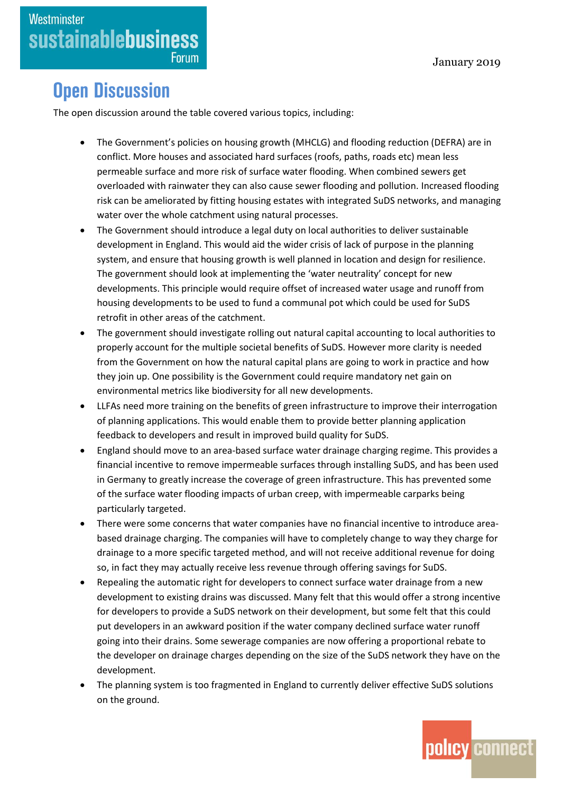### **Open Discussion**

The open discussion around the table covered various topics, including:

- The Government's policies on housing growth (MHCLG) and flooding reduction (DEFRA) are in conflict. More houses and associated hard surfaces (roofs, paths, roads etc) mean less permeable surface and more risk of surface water flooding. When combined sewers get overloaded with rainwater they can also cause sewer flooding and pollution. Increased flooding risk can be ameliorated by fitting housing estates with integrated SuDS networks, and managing water over the whole catchment using natural processes.
- The Government should introduce a legal duty on local authorities to deliver sustainable development in England. This would aid the wider crisis of lack of purpose in the planning system, and ensure that housing growth is well planned in location and design for resilience. The government should look at implementing the 'water neutrality' concept for new developments. This principle would require offset of increased water usage and runoff from housing developments to be used to fund a communal pot which could be used for SuDS retrofit in other areas of the catchment.
- The government should investigate rolling out natural capital accounting to local authorities to properly account for the multiple societal benefits of SuDS. However more clarity is needed from the Government on how the natural capital plans are going to work in practice and how they join up. One possibility is the Government could require mandatory net gain on environmental metrics like biodiversity for all new developments.
- LLFAs need more training on the benefits of green infrastructure to improve their interrogation of planning applications. This would enable them to provide better planning application feedback to developers and result in improved build quality for SuDS.
- England should move to an area-based surface water drainage charging regime. This provides a financial incentive to remove impermeable surfaces through installing SuDS, and has been used in Germany to greatly increase the coverage of green infrastructure. This has prevented some of the surface water flooding impacts of urban creep, with impermeable carparks being particularly targeted.
- There were some concerns that water companies have no financial incentive to introduce areabased drainage charging. The companies will have to completely change to way they charge for drainage to a more specific targeted method, and will not receive additional revenue for doing so, in fact they may actually receive less revenue through offering savings for SuDS.
- Repealing the automatic right for developers to connect surface water drainage from a new development to existing drains was discussed. Many felt that this would offer a strong incentive for developers to provide a SuDS network on their development, but some felt that this could put developers in an awkward position if the water company declined surface water runoff going into their drains. Some sewerage companies are now offering a proportional rebate to the developer on drainage charges depending on the size of the SuDS network they have on the development.
- The planning system is too fragmented in England to currently deliver effective SuDS solutions on the ground.

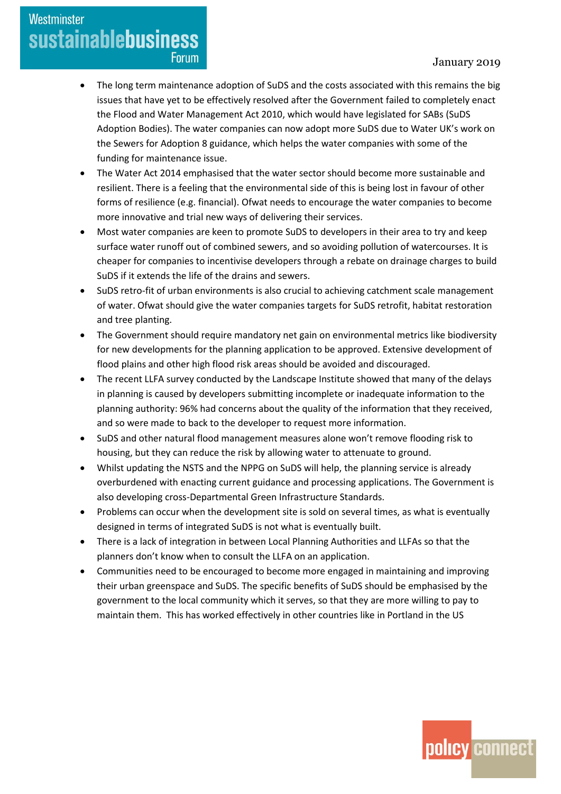### Westminster **sustainablebusiness Forum**

- The long term maintenance adoption of SuDS and the costs associated with this remains the big issues that have yet to be effectively resolved after the Government failed to completely enact the Flood and Water Management Act 2010, which would have legislated for SABs (SuDS Adoption Bodies). The water companies can now adopt more SuDS due to Water UK's work on the Sewers for Adoption 8 guidance, which helps the water companies with some of the funding for maintenance issue.
- The Water Act 2014 emphasised that the water sector should become more sustainable and resilient. There is a feeling that the environmental side of this is being lost in favour of other forms of resilience (e.g. financial). Ofwat needs to encourage the water companies to become more innovative and trial new ways of delivering their services.
- Most water companies are keen to promote SuDS to developers in their area to try and keep surface water runoff out of combined sewers, and so avoiding pollution of watercourses. It is cheaper for companies to incentivise developers through a rebate on drainage charges to build SuDS if it extends the life of the drains and sewers.
- SuDS retro-fit of urban environments is also crucial to achieving catchment scale management of water. Ofwat should give the water companies targets for SuDS retrofit, habitat restoration and tree planting.
- The Government should require mandatory net gain on environmental metrics like biodiversity for new developments for the planning application to be approved. Extensive development of flood plains and other high flood risk areas should be avoided and discouraged.
- The recent LLFA survey conducted by the Landscape Institute showed that many of the delays in planning is caused by developers submitting incomplete or inadequate information to the planning authority: 96% had concerns about the quality of the information that they received, and so were made to back to the developer to request more information.
- SuDS and other natural flood management measures alone won't remove flooding risk to housing, but they can reduce the risk by allowing water to attenuate to ground.
- Whilst updating the NSTS and the NPPG on SuDS will help, the planning service is already overburdened with enacting current guidance and processing applications. The Government is also developing cross-Departmental Green Infrastructure Standards.
- Problems can occur when the development site is sold on several times, as what is eventually designed in terms of integrated SuDS is not what is eventually built.
- There is a lack of integration in between Local Planning Authorities and LLFAs so that the planners don't know when to consult the LLFA on an application.
- Communities need to be encouraged to become more engaged in maintaining and improving their urban greenspace and SuDS. The specific benefits of SuDS should be emphasised by the government to the local community which it serves, so that they are more willing to pay to maintain them. This has worked effectively in other countries like in Portland in the US